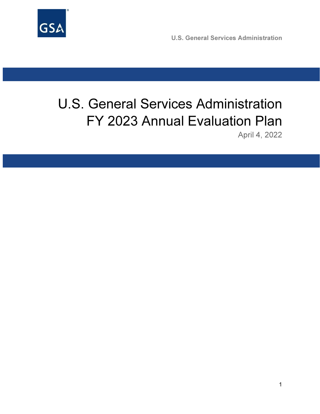

U.S. General Services Administration

# U.S. General Services Administration FY 2023 Annual Evaluation Plan

April 4, 2022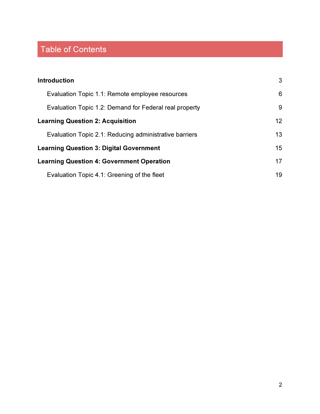## Table of Contents

| <b>Introduction</b>                                    | 3               |
|--------------------------------------------------------|-----------------|
| Evaluation Topic 1.1: Remote employee resources        | 6               |
| Evaluation Topic 1.2: Demand for Federal real property | 9               |
| <b>Learning Question 2: Acquisition</b>                | 12 <sup>°</sup> |
| Evaluation Topic 2.1: Reducing administrative barriers | 13              |
| <b>Learning Question 3: Digital Government</b>         | 15              |
| <b>Learning Question 4: Government Operation</b>       | 17              |
| Evaluation Topic 4.1: Greening of the fleet            | 19              |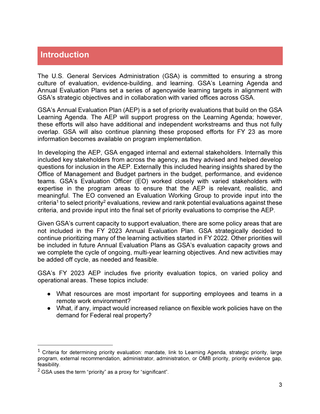### Introduction

The U.S. General Services Administration (GSA) is committed to ensuring a strong culture of evaluation, evidence-building, and learning. GSA's Learning Agenda and Annual Evaluation Plans set a series of agencywide learning targets in alignment with GSA's strategic objectives and in collaboration with varied offices across GSA.

GSA's Annual Evaluation Plan (AEP) is a set of priority evaluations that build on the GSA Learning Agenda. The AEP will support progress on the Learning Agenda; however, these efforts will also have additional and independent workstreams and thus not fully overlap. GSA will also continue planning these proposed efforts for FY 23 as more information becomes available on program implementation.

In developing the AEP, GSA engaged internal and external stakeholders. Internally this included key stakeholders from across the agency, as they advised and helped develop questions for inclusion in the AEP. Externally this included hearing insights shared by the Office of Management and Budget partners in the budget, performance, and evidence teams. GSA's Evaluation Officer (EO) worked closely with varied stakeholders with expertise in the program areas to ensure that the AEP is relevant, realistic, and meaningful. The EO convened an Evaluation Working Group to provide input into the criteria<sup>1</sup> to select priority<sup>2</sup> evaluations, review and rank potential evaluations against these criteria, and provide input into the final set of priority evaluations to comprise the AEP.

Given GSA's current capacity to support evaluation, there are some policy areas that are not included in the FY 2023 Annual Evaluation Plan. GSA strategically decided to continue prioritizing many of the learning activities started in FY 2022. Other priorities will be included in future Annual Evaluation Plans as GSA's evaluation capacity grows and we complete the cycle of ongoing, multi-year learning objectives. And new activities may be added off cycle, as needed and feasible.

GSA's FY 2023 AEP includes five priority evaluation topics, on varied policy and operational areas. These topics include:

- What resources are most important for supporting employees and teams in a remote work environment?
- What, if any, impact would increased reliance on flexible work policies have on the demand for Federal real property?

<sup>&</sup>lt;sup>1</sup> Criteria for determining priority evaluation: mandate, link to Learning Agenda, strategic priority, large program, external recommendation, administrator, administration, or OMB priority, priority evidence gap, feasibility.

 $2$  GSA uses the term "priority" as a proxy for "significant".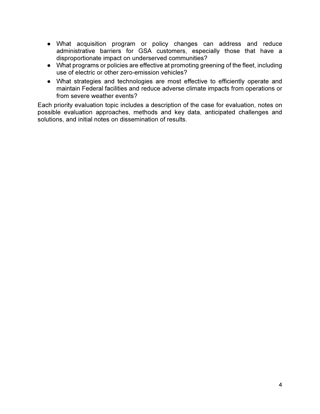- What acquisition program or policy changes can address and reduce administrative barriers for GSA customers, especially those that have a disproportionate impact on underserved communities?
- What programs or policies are effective at promoting greening of the fleet, including use of electric or other zero-emission vehicles?
- What strategies and technologies are most effective to efficiently operate and maintain Federal facilities and reduce adverse climate impacts from operations or from severe weather events?

Each priority evaluation topic includes a description of the case for evaluation, notes on possible evaluation approaches, methods and key data, anticipated challenges and solutions, and initial notes on dissemination of results.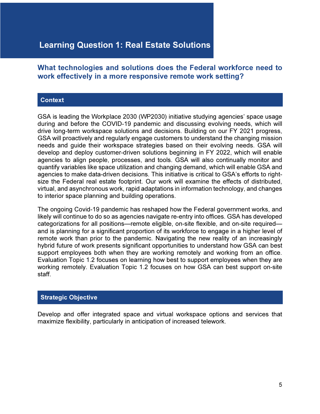### Learning Question 1: Real Estate Solutions

#### What technologies and solutions does the Federal workforce need to work effectively in a more responsive remote work setting?

#### **Context**

GSA is leading the Workplace 2030 (WP2030) initiative studying agencies' space usage during and before the COVID-19 pandemic and discussing evolving needs, which will drive long-term workspace solutions and decisions. Building on our FY 2021 progress, GSA will proactively and regularly engage customers to understand the changing mission needs and guide their workspace strategies based on their evolving needs. GSA will develop and deploy customer-driven solutions beginning in FY 2022, which will enable agencies to align people, processes, and tools. GSA will also continually monitor and quantify variables like space utilization and changing demand, which will enable GSA and agencies to make data-driven decisions. This initiative is critical to GSA's efforts to rightsize the Federal real estate footprint. Our work will examine the effects of distributed, virtual, and asynchronous work, rapid adaptations in information technology, and changes to interior space planning and building operations.

The ongoing Covid-19 pandemic has reshaped how the Federal government works, and likely will continue to do so as agencies navigate re-entry into offices. GSA has developed categorizations for all positions—remote eligible, on-site flexible, and on-site required and is planning for a significant proportion of its workforce to engage in a higher level of remote work than prior to the pandemic. Navigating the new reality of an increasingly hybrid future of work presents significant opportunities to understand how GSA can best support employees both when they are working remotely and working from an office. Evaluation Topic 1.2 focuses on learning how best to support employees when they are working remotely. Evaluation Topic 1.2 focuses on how GSA can best support on-site staff.

#### Strategic Objective

Develop and offer integrated space and virtual workspace options and services that maximize flexibility, particularly in anticipation of increased telework.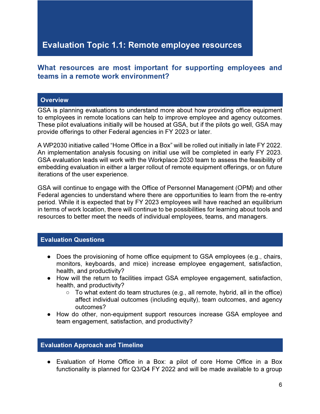### Evaluation Topic 1.1: Remote employee resources

#### What resources are most important for supporting employees and teams in a remote work environment?

#### **Overview**

GSA is planning evaluations to understand more about how providing office equipment to employees in remote locations can help to improve employee and agency outcomes. These pilot evaluations initially will be housed at GSA, but if the pilots go well, GSA may provide offerings to other Federal agencies in FY 2023 or later.

A WP2030 initiative called "Home Office in a Box" will be rolled out initially in late FY 2022. An implementation analysis focusing on initial use will be completed in early FY 2023. GSA evaluation leads will work with the Workplace 2030 team to assess the feasibility of embedding evaluation in either a larger rollout of remote equipment offerings, or on future iterations of the user experience.

GSA will continue to engage with the Office of Personnel Management (OPM) and other Federal agencies to understand where there are opportunities to learn from the re-entry period. While it is expected that by FY 2023 employees will have reached an equilibrium in terms of work location, there will continue to be possibilities for learning about tools and resources to better meet the needs of individual employees, teams, and managers.

#### Evaluation Questions

- Does the provisioning of home office equipment to GSA employees (e.g., chairs, monitors, keyboards, and mice) increase employee engagement, satisfaction, health, and productivity?
- How will the return to facilities impact GSA employee engagement, satisfaction, health, and productivity?
	- To what extent do team structures (e.g., all remote, hybrid, all in the office) affect individual outcomes (including equity), team outcomes, and agency outcomes?
- How do other, non-equipment support resources increase GSA employee and team engagement, satisfaction, and productivity?

#### Evaluation Approach and Timeline

● Evaluation of Home Office in a Box: a pilot of core Home Office in a Box functionality is planned for Q3/Q4 FY 2022 and will be made available to a group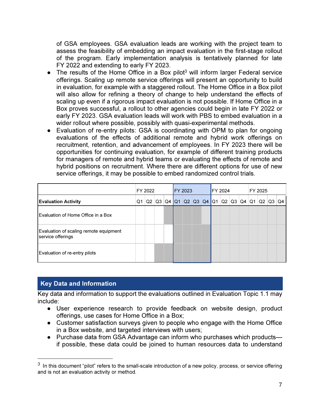of GSA employees. GSA evaluation leads are working with the project team to assess the feasibility of embedding an impact evaluation in the first-stage rollout of the program. Early implementation analysis is tentatively planned for late FY 2022 and extending to early FY 2023.

- The results of the Home Office in a Box pilot<sup>3</sup> will inform larger Federal service offerings. Scaling up remote service offerings will present an opportunity to build in evaluation, for example with a staggered rollout. The Home Office in a Box pilot will also allow for refining a theory of change to help understand the effects of scaling up even if a rigorous impact evaluation is not possible. If Home Office in a Box proves successful, a rollout to other agencies could begin in late FY 2022 or early FY 2023. GSA evaluation leads will work with PBS to embed evaluation in a wider rollout where possible, possibly with quasi-experimental methods.
- Evaluation of re-entry pilots: GSA is coordinating with OPM to plan for ongoing evaluations of the effects of additional remote and hybrid work offerings on recruitment, retention, and advancement of employees. In FY 2023 there will be opportunities for continuing evaluation, for example of different training products for managers of remote and hybrid teams or evaluating the effects of remote and hybrid positions on recruitment. Where there are different options for use of new service offerings, it may be possible to embed randomized control trials.

|                                                             |    | FY 2022 |                    |  | <b>FY 2023</b>                  |  | <b>FY 2024</b> |  | FY 2025 |    |  |       |  |
|-------------------------------------------------------------|----|---------|--------------------|--|---------------------------------|--|----------------|--|---------|----|--|-------|--|
| <b>Evaluation Activity</b>                                  | Q1 | Q2      | $\vert$ Q3 $\vert$ |  | $Q4$ Q1 Q2 Q3 Q4 Q1 Q2 Q3 Q4 Q1 |  |                |  |         | Q2 |  | Q3 Q4 |  |
| Evaluation of Home Office in a Box                          |    |         |                    |  |                                 |  |                |  |         |    |  |       |  |
| Evaluation of scaling remote equipment<br>service offerings |    |         |                    |  |                                 |  |                |  |         |    |  |       |  |
| Evaluation of re-entry pilots                               |    |         |                    |  |                                 |  |                |  |         |    |  |       |  |

#### Key Data and Information

Key data and information to support the evaluations outlined in Evaluation Topic 1.1 may include:

- User experience research to provide feedback on website design, product offerings, use cases for Home Office in a Box;
- Customer satisfaction surveys given to people who engage with the Home Office in a Box website, and targeted interviews with users;
- Purchase data from GSA Advantage can inform who purchases which products if possible, these data could be joined to human resources data to understand

 $3\,$  In this document "pilot" refers to the small-scale introduction of a new policy, process, or service offering and is not an evaluation activity or method.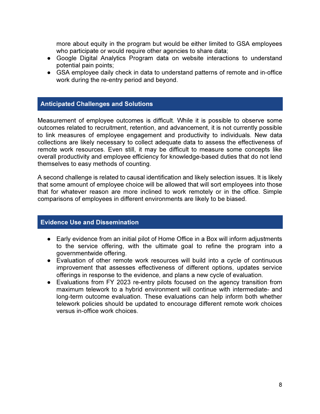more about equity in the program but would be either limited to GSA employees who participate or would require other agencies to share data;

- Google Digital Analytics Program data on website interactions to understand potential pain points;
- GSA employee daily check in data to understand patterns of remote and in-office work during the re-entry period and beyond.

#### Anticipated Challenges and Solutions

Measurement of employee outcomes is difficult. While it is possible to observe some outcomes related to recruitment, retention, and advancement, it is not currently possible to link measures of employee engagement and productivity to individuals. New data collections are likely necessary to collect adequate data to assess the effectiveness of remote work resources. Even still, it may be difficult to measure some concepts like overall productivity and employee efficiency for knowledge-based duties that do not lend themselves to easy methods of counting.

A second challenge is related to causal identification and likely selection issues. It is likely that some amount of employee choice will be allowed that will sort employees into those that for whatever reason are more inclined to work remotely or in the office. Simple comparisons of employees in different environments are likely to be biased.

#### Evidence Use and Dissemination

- Early evidence from an initial pilot of Home Office in a Box will inform adjustments to the service offering, with the ultimate goal to refine the program into a governmentwide offering.
- Evaluation of other remote work resources will build into a cycle of continuous improvement that assesses effectiveness of different options, updates service offerings in response to the evidence, and plans a new cycle of evaluation.
- Evaluations from FY 2023 re-entry pilots focused on the agency transition from maximum telework to a hybrid environment will continue with intermediate- and long-term outcome evaluation. These evaluations can help inform both whether telework policies should be updated to encourage different remote work choices versus in-office work choices.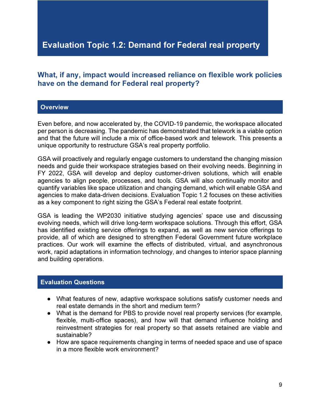### Evaluation Topic 1.2: Demand for Federal real property

#### What, if any, impact would increased reliance on flexible work policies have on the demand for Federal real property?

#### **Overview**

Even before, and now accelerated by, the COVID-19 pandemic, the workspace allocated per person is decreasing. The pandemic has demonstrated that telework is a viable option and that the future will include a mix of office-based work and telework. This presents a unique opportunity to restructure GSA's real property portfolio.

GSA will proactively and regularly engage customers to understand the changing mission needs and guide their workspace strategies based on their evolving needs. Beginning in FY 2022, GSA will develop and deploy customer-driven solutions, which will enable agencies to align people, processes, and tools. GSA will also continually monitor and quantify variables like space utilization and changing demand, which will enable GSA and agencies to make data-driven decisions. Evaluation Topic 1.2 focuses on these activities as a key component to right sizing the GSA's Federal real estate footprint.

GSA is leading the WP2030 initiative studying agencies' space use and discussing evolving needs, which will drive long-term workspace solutions. Through this effort, GSA has identified existing service offerings to expand, as well as new service offerings to provide, all of which are designed to strengthen Federal Government future workplace practices. Our work will examine the effects of distributed, virtual, and asynchronous work, rapid adaptations in information technology, and changes to interior space planning and building operations.

#### Evaluation Questions

- What features of new, adaptive workspace solutions satisfy customer needs and real estate demands in the short and medium term?
- What is the demand for PBS to provide novel real property services (for example, flexible, multi-office spaces), and how will that demand influence holding and reinvestment strategies for real property so that assets retained are viable and sustainable?
- How are space requirements changing in terms of needed space and use of space in a more flexible work environment?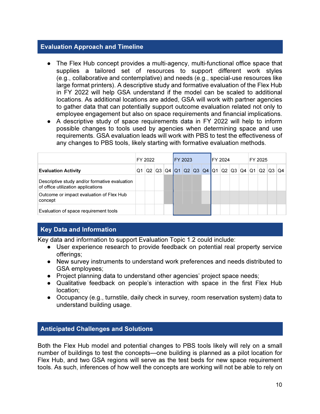#### Evaluation Approach and Timeline

- The Flex Hub concept provides a multi-agency, multi-functional office space that supplies a tailored set of resources to support different work styles (e.g., collaborative and contemplative) and needs (e.g., special-use resources like large format printers). A descriptive study and formative evaluation of the Flex Hub in FY 2022 will help GSA understand if the model can be scaled to additional locations. As additional locations are added, GSA will work with partner agencies to gather data that can potentially support outcome evaluation related not only to employee engagement but also on space requirements and financial implications.
- A descriptive study of space requirements data in FY 2022 will help to inform possible changes to tools used by agencies when determining space and use requirements. GSA evaluation leads will work with PBS to test the effectiveness of any changes to PBS tools, likely starting with formative evaluation methods.

|                                                                                     |    | FY 2022 |    |    | <b>IFY 2023</b> |                           |  | FY 2024 |  | FY 2025 |    |    |     |  |
|-------------------------------------------------------------------------------------|----|---------|----|----|-----------------|---------------------------|--|---------|--|---------|----|----|-----|--|
| <b>Evaluation Activity</b>                                                          | Q1 | Q2      | Q3 | Q4 |                 | $Q1$ Q2 Q3 Q4 Q1 Q2 Q3 Q4 |  |         |  | IQ1     | Q2 | Q3 | ∣Q4 |  |
| Descriptive study and/or formative evaluation<br>of office utilization applications |    |         |    |    |                 |                           |  |         |  |         |    |    |     |  |
| Outcome or impact evaluation of Flex Hub<br>concept                                 |    |         |    |    |                 |                           |  |         |  |         |    |    |     |  |
| Evaluation of space requirement tools                                               |    |         |    |    |                 |                           |  |         |  |         |    |    |     |  |

#### Key Data and Information

Key data and information to support Evaluation Topic 1.2 could include:

- User experience research to provide feedback on potential real property service offerings;
- New survey instruments to understand work preferences and needs distributed to GSA employees;
- Project planning data to understand other agencies' project space needs;
- Qualitative feedback on people's interaction with space in the first Flex Hub location;
- Occupancy (e.g., turnstile, daily check in survey, room reservation system) data to understand building usage.

#### Anticipated Challenges and Solutions

Both the Flex Hub model and potential changes to PBS tools likely will rely on a small number of buildings to test the concepts—one building is planned as a pilot location for Flex Hub, and two GSA regions will serve as the test beds for new space requirement tools. As such, inferences of how well the concepts are working will not be able to rely on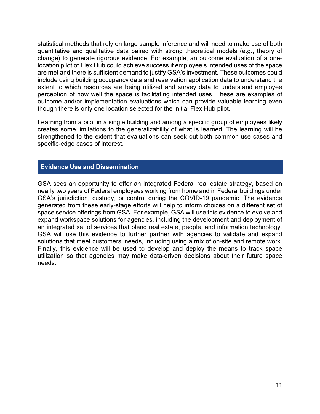statistical methods that rely on large sample inference and will need to make use of both quantitative and qualitative data paired with strong theoretical models (e.g., theory of change) to generate rigorous evidence. For example, an outcome evaluation of a onelocation pilot of Flex Hub could achieve success if employee's intended uses of the space are met and there is sufficient demand to justify GSA's investment. These outcomes could include using building occupancy data and reservation application data to understand the extent to which resources are being utilized and survey data to understand employee perception of how well the space is facilitating intended uses. These are examples of outcome and/or implementation evaluations which can provide valuable learning even though there is only one location selected for the initial Flex Hub pilot.

Learning from a pilot in a single building and among a specific group of employees likely creates some limitations to the generalizability of what is learned. The learning will be strengthened to the extent that evaluations can seek out both common-use cases and specific-edge cases of interest.

#### Evidence Use and Dissemination

GSA sees an opportunity to offer an integrated Federal real estate strategy, based on nearly two years of Federal employees working from home and in Federal buildings under GSA's jurisdiction, custody, or control during the COVID-19 pandemic. The evidence generated from these early-stage efforts will help to inform choices on a different set of space service offerings from GSA. For example, GSA will use this evidence to evolve and expand workspace solutions for agencies, including the development and deployment of an integrated set of services that blend real estate, people, and information technology. GSA will use this evidence to further partner with agencies to validate and expand solutions that meet customers' needs, including using a mix of on-site and remote work. Finally, this evidence will be used to develop and deploy the means to track space utilization so that agencies may make data-driven decisions about their future space needs.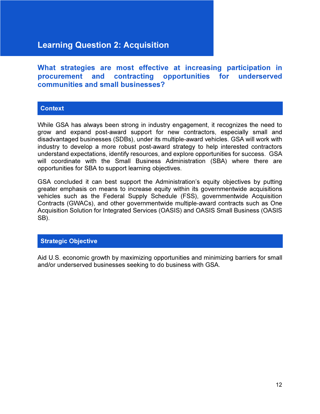### Learning Question 2: Acquisition

What strategies are most effective at increasing participation in procurement and contracting opportunities for underserved communities and small businesses?

#### **Context**

While GSA has always been strong in industry engagement, it recognizes the need to grow and expand post-award support for new contractors, especially small and disadvantaged businesses (SDBs), under its multiple-award vehicles. GSA will work with industry to develop a more robust post-award strategy to help interested contractors understand expectations, identify resources, and explore opportunities for success. GSA will coordinate with the Small Business Administration (SBA) where there are opportunities for SBA to support learning objectives.

GSA concluded it can best support the Administration's equity objectives by putting greater emphasis on means to increase equity within its governmentwide acquisitions vehicles such as the Federal Supply Schedule (FSS), governmentwide Acquisition Contracts (GWACs), and other governmentwide multiple-award contracts such as One Acquisition Solution for Integrated Services (OASIS) and OASIS Small Business (OASIS SB).

#### Strategic Objective

Aid U.S. economic growth by maximizing opportunities and minimizing barriers for small and/or underserved businesses seeking to do business with GSA.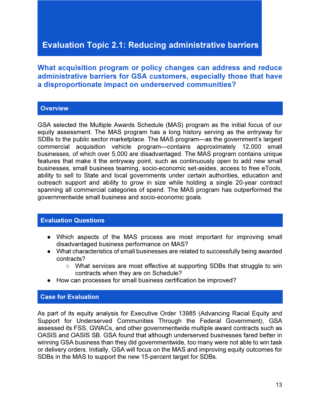### Evaluation Topic 2.1: Reducing administrative barriers

What acquisition program or policy changes can address and reduce administrative barriers for GSA customers, especially those that have a disproportionate impact on underserved communities?

#### **Overview**

GSA selected the Multiple Awards Schedule (MAS) program as the initial focus of our equity assessment. The MAS program has a long history serving as the entryway for SDBs to the public sector marketplace. The MAS program—as the government's largest commercial acquisition vehicle program—contains approximately 12,000 small businesses, of which over 5,000 are disadvantaged. The MAS program contains unique features that make it the entryway point, such as continuously open to add new small businesses, small business teaming, socio-economic set-asides, access to free eTools, ability to sell to State and local governments under certain authorities, education and outreach support and ability to grow in size while holding a single 20-year contract spanning all commercial categories of spend. The MAS program has outperformed the governmentwide small business and socio-economic goals.

#### Evaluation Questions

- Which aspects of the MAS process are most important for improving small disadvantaged business performance on MAS?
- What characteristics of small businesses are related to successfully being awarded contracts?
	- What services are most effective at supporting SDBs that struggle to win contracts when they are on Schedule?
- How can processes for small business certification be improved?

#### Case for Evaluation

As part of its equity analysis for Executive Order 13985 (Advancing Racial Equity and Support for Underserved Communities Through the Federal Government), GSA assessed its FSS, GWACs, and other governmentwide multiple award contracts such as OASIS and OASIS SB. GSA found that although underserved businesses fared better in winning GSA business than they did governmentwide, too many were not able to win task or delivery orders. Initially, GSA will focus on the MAS and improving equity outcomes for SDBs in the MAS to support the new 15-percent target for SDBs.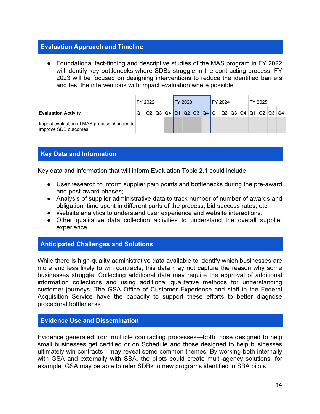#### Evaluation Approach and Timeline

● Foundational fact-finding and descriptive studies of the MAS program in FY 2022 will identify key bottlenecks where SDBs struggle in the contracting process. FY 2023 will be focused on designing interventions to reduce the identified barriers and test the interventions with impact evaluation where possible.

|                                                                     | FY 2022 |  | <b>IFY 2023</b> |                                                                                                                                                                      |  | FY 2024 |  | FY 2025 |  |  |  |  |
|---------------------------------------------------------------------|---------|--|-----------------|----------------------------------------------------------------------------------------------------------------------------------------------------------------------|--|---------|--|---------|--|--|--|--|
| <b>Evaluation Activity</b>                                          |         |  |                 | $\vert$ Q2 $\vert$ Q3 $\vert$ Q4 $\vert$ Q1 $\vert$ Q2 $\vert$ Q3 $\vert$ Q4 $\vert$ Q1 $\vert$ Q2 $\vert$ Q3 $\vert$ Q4 $\vert$ Q1 $\vert$ Q2 $\vert$ Q3 $\vert$ Q4 |  |         |  |         |  |  |  |  |
| Impact evaluation of MAS process changes to<br>improve SDB outcomes |         |  |                 |                                                                                                                                                                      |  |         |  |         |  |  |  |  |

#### Key Data and Information

Key data and information that will inform Evaluation Topic 2.1 could include:

- User research to inform supplier pain points and bottlenecks during the pre-award and post-award phases;
- Analysis of supplier administrative data to track number of number of awards and obligation, time spent in different parts of the process, bid success rates, etc.;
- Website analytics to understand user experience and website interactions;
- Other qualitative data collection activities to understand the overall supplier experience.

#### Anticipated Challenges and Solutions

While there is high-quality administrative data available to identify which businesses are more and less likely to win contracts, this data may not capture the reason why some businesses struggle. Collecting additional data may require the approval of additional information collections and using additional qualitative methods for understanding customer journeys. The GSA Office of Customer Experience and staff in the Federal Acquisition Service have the capacity to support these efforts to better diagnose procedural bottlenecks.

#### Evidence Use and Dissemination

Evidence generated from multiple contracting processes—both those designed to help small businesses get certified or on Schedule and those designed to help businesses ultimately win contracts—may reveal some common themes. By working both internally with GSA and externally with SBA, the pilots could create multi-agency solutions, for example, GSA may be able to refer SDBs to new programs identified in SBA pilots.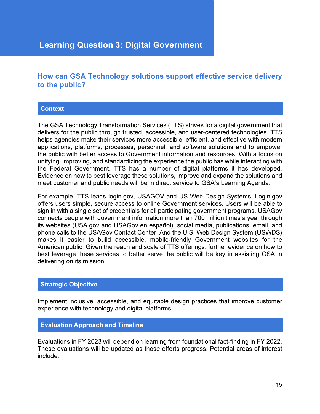### Learning Question 3: Digital Government

#### How can GSA Technology solutions support effective service delivery to the public?

#### **Context**

The GSA Technology Transformation Services (TTS) strives for a digital government that delivers for the public through trusted, accessible, and user-centered technologies. TTS helps agencies make their services more accessible, efficient, and effective with modern applications, platforms, processes, personnel, and software solutions and to empower the public with better access to Government information and resources. With a focus on unifying, improving, and standardizing the experience the public has while interacting with the Federal Government, TTS has a number of digital platforms it has developed. Evidence on how to best leverage these solutions, improve and expand the solutions and meet customer and public needs will be in direct service to GSA's Learning Agenda.

For example, TTS leads login.gov, USAGOV and US Web Design Systems. Login.gov offers users simple, secure access to online Government services. Users will be able to sign in with a single set of credentials for all participating government programs. USAGov connects people with government information more than 700 million times a year through its websites (USA.gov and USAGov en español), social media, publications, email, and phone calls to the USAGov Contact Center. And the U.S. Web Design System (USWDS) makes it easier to build accessible, mobile-friendly Government websites for the American public. Given the reach and scale of TTS offerings, further evidence on how to best leverage these services to better serve the public will be key in assisting GSA in delivering on its mission.

#### Strategic Objective

Implement inclusive, accessible, and equitable design practices that improve customer experience with technology and digital platforms.

#### Evaluation Approach and Timeline

Evaluations in FY 2023 will depend on learning from foundational fact-finding in FY 2022. These evaluations will be updated as those efforts progress. Potential areas of interest include: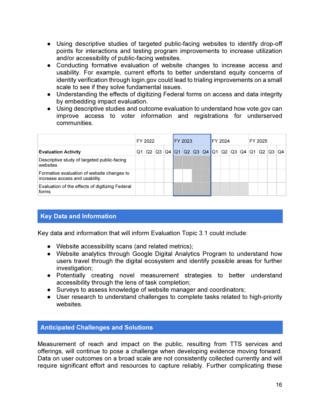- Using descriptive studies of targeted public-facing websites to identify drop-off points for interactions and testing program improvements to increase utilization and/or accessibility of public-facing websites.
- Conducting formative evaluation of website changes to increase access and usability. For example, current efforts to better understand equity concerns of identity verification through login.gov could lead to trialing improvements on a small scale to see if they solve fundamental issues.
- Understanding the effects of digitizing Federal forms on access and data integrity by embedding impact evaluation.
- Using descriptive studies and outcome evaluation to understand how vote.gov can improve access to voter information and registrations for underserved communities.

|                                                                              | FY 2022 |    |    |           |                 | FY 2023 |                                                                                       |  | FY 2024 |  | FY 2025 |                |       |  |  |
|------------------------------------------------------------------------------|---------|----|----|-----------|-----------------|---------|---------------------------------------------------------------------------------------|--|---------|--|---------|----------------|-------|--|--|
| <b>Evaluation Activity</b>                                                   | .Q1     | Q2 | Q3 | <b>Q4</b> | $\overline{Q1}$ |         | $\left  Q2 \right  Q3 \left  Q4 \right  Q1 \left  Q2 \right  Q3 \left  Q4 \right  Q1$ |  |         |  |         | Q <sub>2</sub> | Q3 Q4 |  |  |
| Descriptive study of targeted public-facing<br>websites                      |         |    |    |           |                 |         |                                                                                       |  |         |  |         |                |       |  |  |
| Formative evaluation of website changes to<br>increase access and usability. |         |    |    |           |                 |         |                                                                                       |  |         |  |         |                |       |  |  |
| Evaluation of the effects of digitizing Federal<br>forms                     |         |    |    |           |                 |         |                                                                                       |  |         |  |         |                |       |  |  |

#### Key Data and Information

Key data and information that will inform Evaluation Topic 3.1 could include:

- Website accessibility scans (and related metrics);
- Website analytics through Google Digital Analytics Program to understand how users travel through the digital ecosystem and identify possible areas for further investigation;
- Potentially creating novel measurement strategies to better understand accessibility through the lens of task completion;
- Surveys to assess knowledge of website manager and coordinators;
- User research to understand challenges to complete tasks related to high-priority websites.

#### Anticipated Challenges and Solutions

Measurement of reach and impact on the public, resulting from TTS services and offerings, will continue to pose a challenge when developing evidence moving forward. Data on user outcomes on a broad scale are not consistently collected currently and will require significant effort and resources to capture reliably. Further complicating these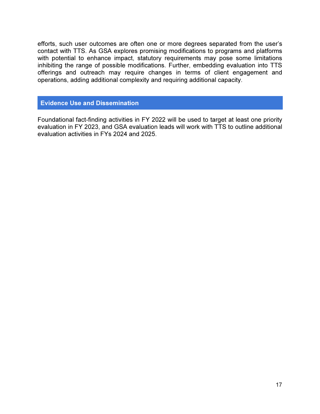efforts, such user outcomes are often one or more degrees separated from the user's contact with TTS. As GSA explores promising modifications to programs and platforms with potential to enhance impact, statutory requirements may pose some limitations inhibiting the range of possible modifications. Further, embedding evaluation into TTS offerings and outreach may require changes in terms of client engagement and operations, adding additional complexity and requiring additional capacity.

#### Evidence Use and Dissemination

Foundational fact-finding activities in FY 2022 will be used to target at least one priority evaluation in FY 2023, and GSA evaluation leads will work with TTS to outline additional evaluation activities in FYs 2024 and 2025.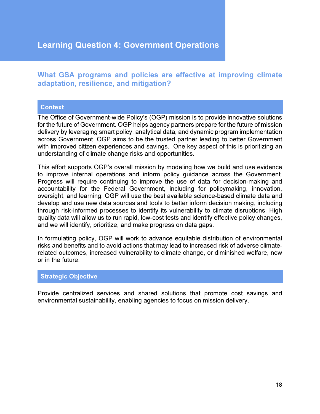What GSA programs and policies are effective at improving climate adaptation, resilience, and mitigation?

#### **Context**

The Office of Government-wide Policy's (OGP) mission is to provide innovative solutions for the future of Government. OGP helps agency partners prepare for the future of mission delivery by leveraging smart policy, analytical data, and dynamic program implementation across Government. OGP aims to be the trusted partner leading to better Government with improved citizen experiences and savings. One key aspect of this is prioritizing an understanding of climate change risks and opportunities.

This effort supports OGP's overall mission by modeling how we build and use evidence to improve internal operations and inform policy guidance across the Government. Progress will require continuing to improve the use of data for decision-making and accountability for the Federal Government, including for policymaking, innovation, oversight, and learning. OGP will use the best available science-based climate data and develop and use new data sources and tools to better inform decision making, including through risk-informed processes to identify its vulnerability to climate disruptions. High quality data will allow us to run rapid, low-cost tests and identify effective policy changes, and we will identify, prioritize, and make progress on data gaps.

In formulating policy, OGP will work to advance equitable distribution of environmental risks and benefits and to avoid actions that may lead to increased risk of adverse climaterelated outcomes, increased vulnerability to climate change, or diminished welfare, now or in the future.

#### Strategic Objective

Provide centralized services and shared solutions that promote cost savings and environmental sustainability, enabling agencies to focus on mission delivery.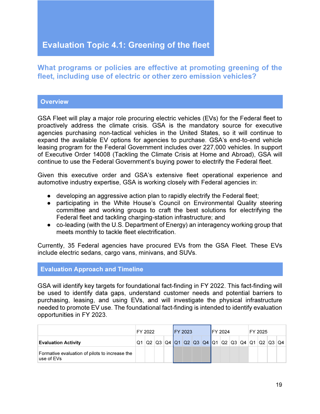### Evaluation Topic 4.1: Greening of the fleet

#### What programs or policies are effective at promoting greening of the fleet, including use of electric or other zero emission vehicles?

#### **Overview**

GSA Fleet will play a major role procuring electric vehicles (EVs) for the Federal fleet to proactively address the climate crisis. GSA is the mandatory source for executive agencies purchasing non-tactical vehicles in the United States, so it will continue to expand the available EV options for agencies to purchase. GSA's end-to-end vehicle leasing program for the Federal Government includes over 227,000 vehicles. In support of Executive Order 14008 (Tackling the Climate Crisis at Home and Abroad), GSA will continue to use the Federal Government's buying power to electrify the Federal fleet.

Given this executive order and GSA's extensive fleet operational experience and automotive industry expertise, GSA is working closely with Federal agencies in:

- $\bullet$  developing an aggressive action plan to rapidly electrify the Federal fleet;
- participating in the White House's Council on Environmental Quality steering committee and working groups to craft the best solutions for electrifying the Federal fleet and tackling charging-station infrastructure; and
- co-leading (with the U.S. Department of Energy) an interagency working group that meets monthly to tackle fleet electrification.

Currently, 35 Federal agencies have procured EVs from the GSA Fleet. These EVs include electric sedans, cargo vans, minivans, and SUVs.

#### Evaluation Approach and Timeline

GSA will identify key targets for foundational fact-finding in FY 2022. This fact-finding will be used to identify data gaps, understand customer needs and potential barriers to purchasing, leasing, and using EVs, and will investigate the physical infrastructure needed to promote EV use. The foundational fact-finding is intended to identify evaluation opportunities in FY 2023.

|                                                              |    | FY 2022 |  | <b>IFY 2023</b> |  | <b>IFY 2024</b> |  | FY 2025 |                                              |  |  |  |
|--------------------------------------------------------------|----|---------|--|-----------------|--|-----------------|--|---------|----------------------------------------------|--|--|--|
| <b>Evaluation Activity</b>                                   | Q1 |         |  |                 |  |                 |  |         | Q2 Q3 Q4 Q1 Q2 Q3 Q4 Q1 Q2 Q3 Q4 Q1 Q2 Q3 Q4 |  |  |  |
| Formative evaluation of pilots to increase the<br>use of EVs |    |         |  |                 |  |                 |  |         |                                              |  |  |  |